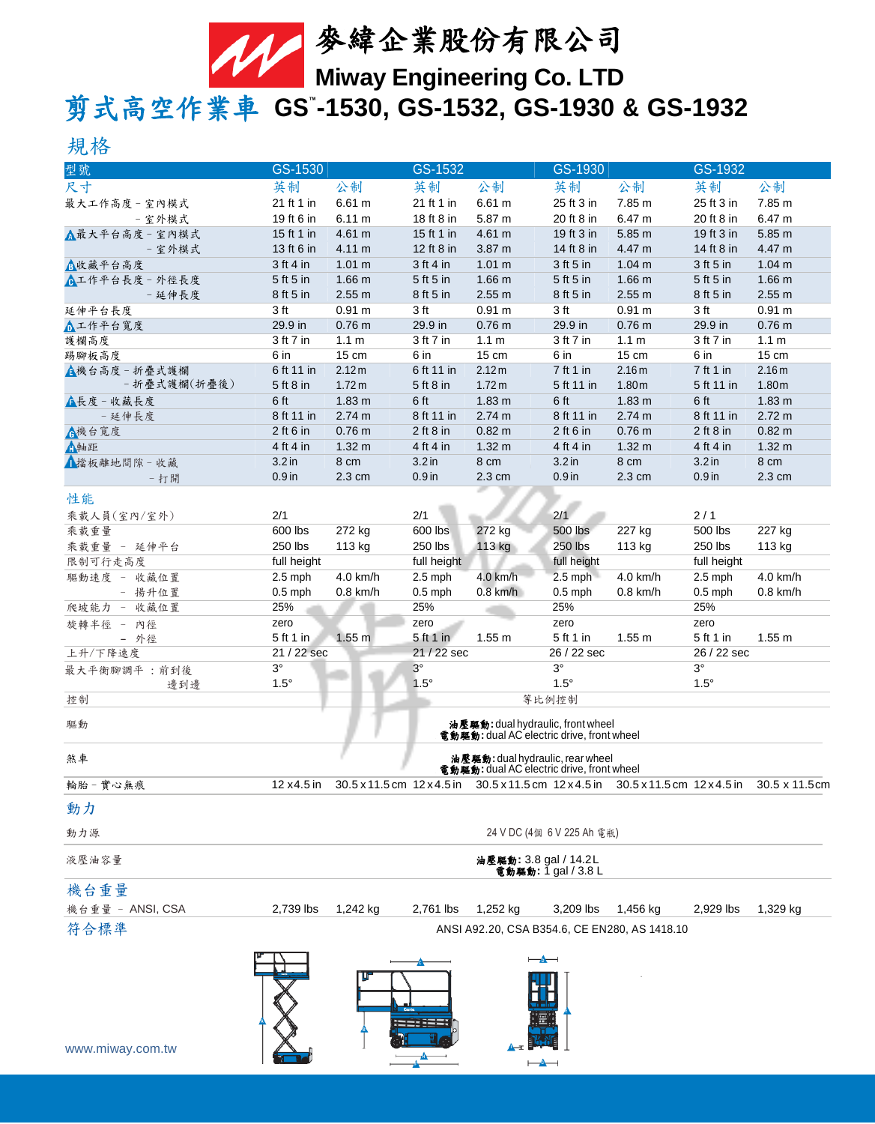

# 剪式高空作業車 **GS™ -1530, GS-1532, GS-1930 & GS-1932**

# 規格

| 型號                            | GS-1530                                                                        |                             | GS-1532           |                                           | GS-1930                    |                                               | GS-1932            |                                                                                                 |
|-------------------------------|--------------------------------------------------------------------------------|-----------------------------|-------------------|-------------------------------------------|----------------------------|-----------------------------------------------|--------------------|-------------------------------------------------------------------------------------------------|
| 尺寸                            | 英制                                                                             | 公制                          | 英制                | 公制                                        | 英制                         | 公制                                            | 英制                 | 公制                                                                                              |
| 最大工作高度-室內模式                   | 21 ft 1 in                                                                     | 6.61 m                      | 21 ft 1 in        | 6.61 m                                    | 25 ft 3 in                 | 7.85 m                                        | 25 ft 3 in         | 7.85 m                                                                                          |
| - 室外模式                        | 19 ft 6 in                                                                     | 6.11 m                      | 18 ft 8 in        | 5.87 m                                    | 20 ft 8 in                 | 6.47 m                                        | 20 ft 8 in         | 6.47 m                                                                                          |
| △最大平台高度 - 室內模式                | 15 ft 1 in                                                                     | 4.61 m                      | 15 ft 1 in        | 4.61 m                                    | 19 ft 3 in                 | 5.85 m                                        | 19 ft 3 in         | 5.85 m                                                                                          |
| - 室外模式                        | 13 ft 6 in                                                                     | 4.11 m                      | 12 ft 8 in        | 3.87 m                                    | 14 ft 8 in                 | 4.47 m                                        | 14 ft 8 in         | 4.47 m                                                                                          |
| △收藏平台高度                       | $3$ ft 4 in                                                                    | 1.01 m                      | 3 ft 4 in         | 1.01 m                                    | 3 ft 5 in                  | 1.04 m                                        | 3 ft 5 in          | 1.04 m                                                                                          |
| <b>C</b> 工作平台長度 - 外徑長度        | 5 ft 5 in                                                                      | 1.66 <sub>m</sub>           | 5 ft 5 in         | 1.66 <sub>m</sub>                         | 5 ft 5 in                  | 1.66 <sub>m</sub>                             | 5 ft 5 in          | 1.66 <sub>m</sub>                                                                               |
| - 延伸長度                        | 8 ft 5 in                                                                      | 2.55 m                      | 8 ft 5 in         | 2.55 m                                    | 8 ft 5 in                  | 2.55 m                                        | 8 ft 5 in          | 2.55 m                                                                                          |
| 延伸平台長度                        | 3 <sub>ft</sub>                                                                | 0.91 m                      | 3 ft              | 0.91 m                                    | 3 ft                       | 0.91 m                                        | 3 ft               | 0.91 m                                                                                          |
| △工作平台寬度                       | 29.9 in                                                                        | 0.76 <sub>m</sub>           | 29.9 in           | 0.76 <sub>m</sub>                         | 29.9 in                    | 0.76 <sub>m</sub>                             | 29.9 in            | 0.76 <sub>m</sub>                                                                               |
| 護欄高度                          | 3 ft 7 in                                                                      | 1.1 <sub>m</sub>            | 3 ft 7 in         | 1.1 <sub>m</sub>                          | 3 ft 7 in                  | 1.1 <sub>m</sub>                              | 3 ft 7 in          | 1.1 <sub>m</sub>                                                                                |
| 踢腳板高度                         | 6 in                                                                           | 15 cm                       | 6 in              | 15 cm                                     | 6 in                       | $15 \text{ cm}$                               | 6 in               | 15 cm                                                                                           |
| ▲機台高度 - 折疊式護欄<br>- 折疊式護欄(折疊後) | 6 ft 11 in                                                                     | 2.12 m<br>1.72 <sub>m</sub> | 6 ft 11 in        | 2.12 m<br>1.72 <sub>m</sub>               | 7 ft 1 in                  | 2.16m                                         | 7 ft 1 in          | 2.16 m                                                                                          |
|                               | 5 ft 8 in<br>6 ft                                                              | 1.83 <sub>m</sub>           | 5 ft 8 in<br>6 ft | 1.83 <sub>m</sub>                         | 5 ft 11 in<br>6 ft         | 1.80 <sub>m</sub><br>1.83 <sub>m</sub>        | 5 ft 11 in<br>6 ft | 1.80 <sub>m</sub><br>1.83 <sub>m</sub>                                                          |
| ▲長度 - 收藏長度                    | 8 ft 11 in                                                                     | 2.74 m                      | 8 ft 11 in        | 2.74 m                                    | 8 ft 11 in                 | 2.74 m                                        | 8 ft 11 in         | 2.72 m                                                                                          |
| - 延伸長度                        | $2$ ft 6 in                                                                    | 0.76 <sub>m</sub>           | $2$ ft $8$ in     | $0.82 \text{ m}$                          | $2$ ft 6 in                | 0.76 <sub>m</sub>                             | $2$ ft $8$ in      | 0.82 m                                                                                          |
| ▲機台寬度<br>△軸距                  | 4 ft 4 in                                                                      | $1.32 \text{ m}$            | 4 ft 4 in         | 1.32 m                                    | 4 ft 4 in                  | 1.32 <sub>m</sub>                             | 4 ft 4 in          | 1.32 <sub>m</sub>                                                                               |
| ▲擋板離地間隙-收藏                    | 3.2 <sub>in</sub>                                                              | 8 cm                        | 3.2 <sub>in</sub> | 8 cm                                      | 3.2 <sub>in</sub>          | 8 cm                                          | 3.2 <sub>in</sub>  | 8 cm                                                                                            |
| - 打開                          | $0.9$ in                                                                       | 2.3 cm                      | $0.9$ in          | 2.3 cm                                    | $0.9$ in                   | 2.3 cm                                        | $0.9$ in           | 2.3 cm                                                                                          |
|                               |                                                                                |                             |                   |                                           |                            |                                               |                    |                                                                                                 |
| 性能                            |                                                                                |                             |                   |                                           |                            |                                               |                    |                                                                                                 |
| 乘載人員(室內/室外)                   | 2/1                                                                            |                             | 2/1               |                                           | 2/1                        |                                               | 2/1                |                                                                                                 |
| 乘載重量                          | 600 lbs                                                                        | 272 kg                      | 600 lbs           | 272 kg                                    | 500 lbs                    | 227 kg                                        | 500 lbs            | 227 kg                                                                                          |
| 乘載重量 - 延伸平台                   | 250 lbs                                                                        | 113 kg                      | 250 lbs           | 113 kg                                    | 250 lbs                    | 113 kg                                        | 250 lbs            | 113 kg                                                                                          |
| 限制可行走高度                       | full height                                                                    |                             | full height       |                                           | full height                |                                               | full height        |                                                                                                 |
| 驅動速度 - 收藏位置                   | $2.5$ mph                                                                      | 4.0 km/h                    | $2.5$ mph         | 4.0 km/h                                  | $2.5$ mph                  | 4.0 km/h                                      | $2.5$ mph          | 4.0 km/h                                                                                        |
| - 揚升位置                        | $0.5$ mph<br>25%                                                               | $0.8$ km/h                  | $0.5$ mph<br>25%  | $0.8$ km/h                                | $0.5$ mph<br>25%           | $0.8$ km/h                                    | $0.5$ mph<br>25%   | $0.8$ km/h                                                                                      |
| 收藏位置<br>爬坡能力<br>$\equiv$      |                                                                                |                             | zero              |                                           | zero                       |                                               | zero               |                                                                                                 |
| 旋轉半徑 - 內徑<br>- 外徑             | zero<br>5 ft 1 in                                                              | 1.55 <sub>m</sub>           | $5ft1$ in         | 1.55 m                                    | 5 ft 1 in                  | 1.55 m                                        | 5 ft 1 in          | 1.55 m                                                                                          |
| 上升/下降速度                       | 21 / 22 sec                                                                    |                             | 21 / 22 sec       |                                           | 26 / 22 sec                |                                               | 26 / 22 sec        |                                                                                                 |
| 最大平衡腳調平:前到後                   | $3^{\circ}$                                                                    |                             | $3^{\circ}$       |                                           | $3^\circ$                  |                                               | $3^{\circ}$        |                                                                                                 |
| 邊到邊                           | $1.5^\circ$                                                                    |                             | $1.5^\circ$       |                                           | $1.5^\circ$                |                                               | $1.5^\circ$        |                                                                                                 |
| 控制                            |                                                                                |                             |                   |                                           | 等比例控制                      |                                               |                    |                                                                                                 |
| 驅動                            |                                                                                |                             |                   |                                           |                            |                                               |                    |                                                                                                 |
|                               | 油壓驅動: dual hydraulic, front wheel<br>電動驅動: dual AC electric drive, front wheel |                             |                   |                                           |                            |                                               |                    |                                                                                                 |
| 煞車                            | 油壓驅動: dual hydraulic, rear wheel                                               |                             |                   |                                           |                            |                                               |                    |                                                                                                 |
|                               |                                                                                |                             |                   | 電動驅動: dual AC electric drive, front wheel |                            |                                               |                    |                                                                                                 |
| 輪胎-實心無痕                       | 12 x 4.5 in                                                                    |                             |                   |                                           |                            |                                               |                    | 30.5 x 11.5 cm 12 x 4.5 in 30.5 x 11.5 cm 12 x 4.5 in 30.5 x 11.5 cm 12 x 4.5 in 30.5 x 11.5 cm |
| 動力                            |                                                                                |                             |                   |                                           |                            |                                               |                    |                                                                                                 |
|                               |                                                                                |                             |                   |                                           |                            |                                               |                    |                                                                                                 |
| 動力源                           |                                                                                |                             |                   |                                           | 24 V DC (4個 6 V 225 Ah 電瓶) |                                               |                    |                                                                                                 |
| 液壓油容量                         |                                                                                |                             |                   | 油壓驅動: 3.8 gal / 14.2L                     | 電動驅動: 1 gal / 3.8 L        |                                               |                    |                                                                                                 |
| 機台重量                          |                                                                                |                             |                   |                                           |                            |                                               |                    |                                                                                                 |
| 機台重量 - ANSI, CSA              | 2,739 lbs                                                                      | 1,242 kg                    | 2,761 lbs         | 1,252 kg                                  | 3,209 lbs                  | 1,456 kg                                      | 2,929 lbs          | 1,329 kg                                                                                        |
|                               |                                                                                |                             |                   |                                           |                            |                                               |                    |                                                                                                 |
| 符合標準                          |                                                                                |                             |                   |                                           |                            | ANSI A92.20, CSA B354.6, CE EN280, AS 1418.10 |                    |                                                                                                 |
| www.miway.com.tw              |                                                                                |                             |                   | $\overline{\phantom{a}}$                  |                            |                                               |                    |                                                                                                 |

 $\rightarrow$